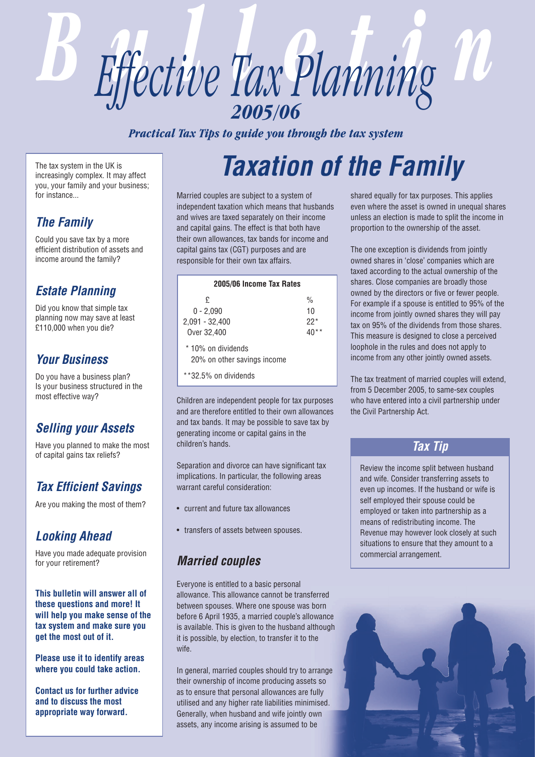

*Practical Tax Tips to guide you through the tax system*

The tax system in the UK is increasingly complex. It may affect you, your family and your business; for instance.

## *The Family*

Could you save tax by a more efficient distribution of assets and income around the family?

## *Estate Planning*

Did you know that simple tax planning now may save at least £110,000 when you die?

### *Your Business*

Do you have a business plan? Is your business structured in the most effective way?

### *Selling your Assets*

Have you planned to make the most of capital gains tax reliefs?

# *Tax Efficient Savings*

Are you making the most of them?

## *Looking Ahead*

Have you made adequate provision for your retirement?

**This bulletin will answer all of these questions and more! It will help you make sense of the tax system and make sure you get the most out of it.** 

**Please use it to identify areas where you could take action.**

**Contact us for further advice and to discuss the most appropriate way forward.**

# *Taxation of the Family*

Married couples are subject to a system of independent taxation which means that husbands and wives are taxed separately on their income and capital gains. The effect is that both have their own allowances, tax bands for income and capital gains tax (CGT) purposes and are responsible for their own tax affairs.

| 2005/06 Income Tax Rates                                                  |                              |  |
|---------------------------------------------------------------------------|------------------------------|--|
| £<br>$0 - 2.090$<br>2,091 - 32,400<br>Over 32,400                         | $\frac{0}{0}$<br>10<br>$22*$ |  |
| * 10% on dividends<br>20% on other savings income<br>**32.5% on dividends |                              |  |
|                                                                           |                              |  |

Children are independent people for tax purposes and are therefore entitled to their own allowances and tax bands. It may be possible to save tax by generating income or capital gains in the children's hands.

Separation and divorce can have significant tax implications. In particular, the following areas warrant careful consideration:

- current and future tax allowances
- transfers of assets between spouses.

## *Married couples*

Everyone is entitled to a basic personal allowance. This allowance cannot be transferred between spouses. Where one spouse was born before 6 April 1935, a married couple's allowance is available. This is given to the husband although it is possible, by election, to transfer it to the wife.

In general, married couples should try to arrange their ownership of income producing assets so as to ensure that personal allowances are fully utilised and any higher rate liabilities minimised. Generally, when husband and wife jointly own assets, any income arising is assumed to be

shared equally for tax purposes. This applies even where the asset is owned in unequal shares unless an election is made to split the income in proportion to the ownership of the asset.

The one exception is dividends from jointly owned shares in 'close' companies which are taxed according to the actual ownership of the shares. Close companies are broadly those owned by the directors or five or fewer people. For example if a spouse is entitled to 95% of the income from jointly owned shares they will pay tax on 95% of the dividends from those shares. This measure is designed to close a perceived loophole in the rules and does not apply to income from any other jointly owned assets.

The tax treatment of married couples will extend, from 5 December 2005, to same-sex couples who have entered into a civil partnership under the Civil Partnership Act.

### *Tax Tip*

Review the income split between husband and wife. Consider transferring assets to even up incomes. If the husband or wife is self employed their spouse could be employed or taken into partnership as a means of redistributing income. The Revenue may however look closely at such situations to ensure that they amount to a commercial arrangement.

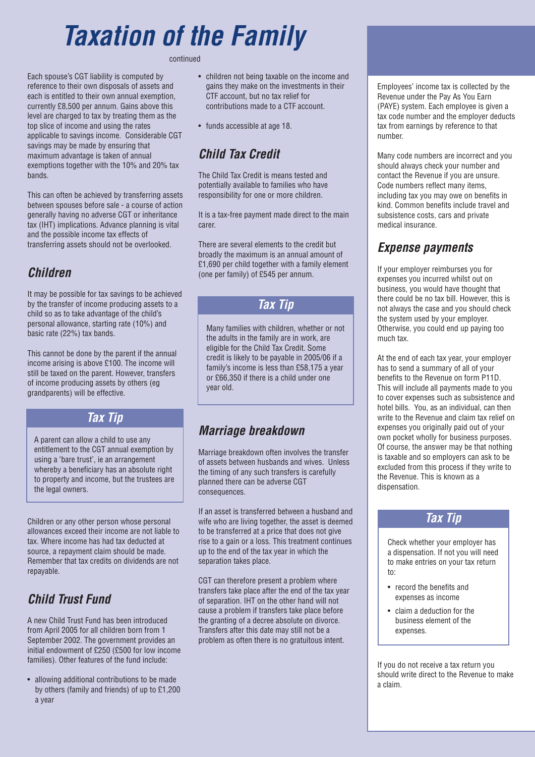# *Taxation of the Family*

continued

Each spouse's CGT liability is computed by reference to their own disposals of assets and each is entitled to their own annual exemption, currently £8,500 per annum. Gains above this level are charged to tax by treating them as the top slice of income and using the rates applicable to savings income. Considerable CGT savings may be made by ensuring that maximum advantage is taken of annual exemptions together with the 10% and 20% tax bands.

This can often be achieved by transferring assets between spouses before sale - a course of action generally having no adverse CGT or inheritance tax (IHT) implications. Advance planning is vital and the possible income tax effects of transferring assets should not be overlooked.

## *Children*

It may be possible for tax savings to be achieved by the transfer of income producing assets to a child so as to take advantage of the child's personal allowance, starting rate (10%) and basic rate (22%) tax bands.

This cannot be done by the parent if the annual income arising is above £100. The income will still be taxed on the parent. However, transfers of income producing assets by others (eg grandparents) will be effective.

### *Tax Tip*

A parent can allow a child to use any entitlement to the CGT annual exemption by using a 'bare trust', ie an arrangement whereby a beneficiary has an absolute right to property and income, but the trustees are the legal owners.

Children or any other person whose personal allowances exceed their income are not liable to tax. Where income has had tax deducted at source, a repayment claim should be made. Remember that tax credits on dividends are not repayable.

# *Child Trust Fund*

A new Child Trust Fund has been introduced from April 2005 for all children born from 1 September 2002. The government provides an initial endowment of £250 (£500 for low income families). Other features of the fund include:

• allowing additional contributions to be made by others (family and friends) of up to £1,200 a year

- children not being taxable on the income and gains they make on the investments in their CTF account, but no tax relief for contributions made to a CTF account.
- funds accessible at age 18.

# *Child Tax Credit*

The Child Tax Credit is means tested and potentially available to families who have responsibility for one or more children.

It is a tax-free payment made direct to the main carer.

There are several elements to the credit but broadly the maximum is an annual amount of £1,690 per child together with a family element (one per family) of £545 per annum.

### *Tax Tip*

Many families with children, whether or not the adults in the family are in work, are eligible for the Child Tax Credit. Some credit is likely to be payable in 2005/06 if a family's income is less than £58,175 a year or £66,350 if there is a child under one year old.

# *Marriage breakdown*

Marriage breakdown often involves the transfer of assets between husbands and wives. Unless the timing of any such transfers is carefully planned there can be adverse CGT consequences.

If an asset is transferred between a husband and wife who are living together, the asset is deemed to be transferred at a price that does not give rise to a gain or a loss. This treatment continues up to the end of the tax year in which the separation takes place.

CGT can therefore present a problem where transfers take place after the end of the tax year of separation. IHT on the other hand will not cause a problem if transfers take place before the granting of a decree absolute on divorce. Transfers after this date may still not be a problem as often there is no gratuitous intent.

Employees' income tax is collected by the Revenue under the Pay As You Earn (PAYE) system. Each employee is given a tax code number and the employer deducts tax from earnings by reference to that number.

Many code numbers are incorrect and you should always check your number and contact the Revenue if you are unsure. Code numbers reflect many items, including tax you may owe on benefits in kind. Common benefits include travel and subsistence costs, cars and private medical insurance.

## *Expense payments*

If your employer reimburses you for expenses you incurred whilst out on business, you would have thought that there could be no tax bill. However, this is not always the case and you should check the system used by your employer. Otherwise, you could end up paying too much tax.

At the end of each tax year, your employer has to send a summary of all of your benefits to the Revenue on form P11D. This will include all payments made to you to cover expenses such as subsistence and hotel bills. You, as an individual, can then write to the Revenue and claim tax relief on expenses you originally paid out of your own pocket wholly for business purposes. Of course, the answer may be that nothing is taxable and so employers can ask to be excluded from this process if they write to the Revenue. This is known as a dispensation.

### *Tax Tip*

Check whether your employer has a dispensation. If not you will need to make entries on your tax return to:

- record the benefits and expenses as income
- claim a deduction for the business element of the expenses.

If you do not receive a tax return you should write direct to the Revenue to make a claim.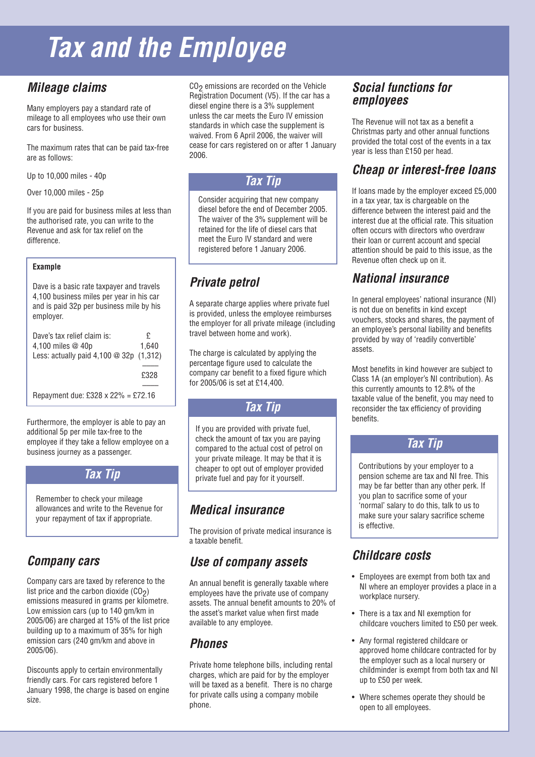# *Tax and the Employee*

## *Mileage claims*

Many employers pay a standard rate of mileage to all employees who use their own cars for business.

The maximum rates that can be paid tax-free are as follows:

Up to 10,000 miles - 40p

Over 10,000 miles - 25p

If you are paid for business miles at less than the authorised rate, you can write to the Revenue and ask for tax relief on the difference.

#### **Example**

Dave is a basic rate taxpayer and travels 4,100 business miles per year in his car and is paid 32p per business mile by his employer.

| Dave's tax relief claim is:                                        | £     |
|--------------------------------------------------------------------|-------|
| 4,100 miles $@$ 40p                                                | 1.640 |
| Less: actually paid $4,100 \text{ } \textcircled{a}$ 32p $(1,312)$ |       |
|                                                                    |       |
|                                                                    | £328  |
|                                                                    |       |
| Repayment due: £328 x 22% = £72.16                                 |       |

Furthermore, the employer is able to pay an additional 5p per mile tax-free to the employee if they take a fellow employee on a business journey as a passenger.

### *Tax Tip*

Remember to check your mileage allowances and write to the Revenue for your repayment of tax if appropriate.

## *Company cars*

Company cars are taxed by reference to the list price and the carbon dioxide  $(CO<sub>2</sub>)$ emissions measured in grams per kilometre. Low emission cars (up to 140 gm/km in 2005/06) are charged at 15% of the list price building up to a maximum of 35% for high emission cars (240 gm/km and above in 2005/06).

Discounts apply to certain environmentally friendly cars. For cars registered before 1 January 1998, the charge is based on engine size.

 $CO<sub>2</sub>$  emissions are recorded on the Vehicle Registration Document (V5). If the car has a diesel engine there is a 3% supplement unless the car meets the Euro IV emission standards in which case the supplement is waived. From 6 April 2006, the waiver will cease for cars registered on or after 1 January 2006.

### *Tax Tip*

Consider acquiring that new company diesel before the end of December 2005. The waiver of the 3% supplement will be retained for the life of diesel cars that meet the Euro IV standard and were registered before 1 January 2006.

# *Private petrol*

A separate charge applies where private fuel is provided, unless the employee reimburses the employer for all private mileage (including travel between home and work).

The charge is calculated by applying the percentage figure used to calculate the company car benefit to a fixed figure which for 2005/06 is set at £14,400.

### *Tax Tip*

If you are provided with private fuel, check the amount of tax you are paying compared to the actual cost of petrol on your private mileage. It may be that it is cheaper to opt out of employer provided private fuel and pay for it yourself.

# *Medical insurance*

The provision of private medical insurance is a taxable benefit.

## *Use of company assets*

An annual benefit is generally taxable where employees have the private use of company assets. The annual benefit amounts to 20% of the asset's market value when first made available to any employee.

## *Phones*

Private home telephone bills, including rental charges, which are paid for by the employer will be taxed as a benefit. There is no charge for private calls using a company mobile phone.

### *Social functions for employees*

The Revenue will not tax as a benefit a Christmas party and other annual functions provided the total cost of the events in a tax year is less than £150 per head.

## *Cheap or interest-free loans*

If loans made by the employer exceed £5,000 in a tax year, tax is chargeable on the difference between the interest paid and the interest due at the official rate. This situation often occurs with directors who overdraw their loan or current account and special attention should be paid to this issue, as the Revenue often check up on it.

## *National insurance*

In general employees' national insurance (NI) is not due on benefits in kind except vouchers, stocks and shares, the payment of an employee's personal liability and benefits provided by way of 'readily convertible' assets.

Most benefits in kind however are subject to Class 1A (an employer's NI contribution). As this currently amounts to 12.8% of the taxable value of the benefit, you may need to reconsider the tax efficiency of providing benefits.

### *Tax Tip*

Contributions by your employer to a pension scheme are tax and NI free. This may be far better than any other perk. If you plan to sacrifice some of your 'normal' salary to do this, talk to us to make sure your salary sacrifice scheme is effective.

# *Childcare costs*

- Employees are exempt from both tax and NI where an employer provides a place in a workplace nursery.
- There is a tax and NI exemption for childcare vouchers limited to £50 per week.
- Any formal registered childcare or approved home childcare contracted for by the employer such as a local nursery or childminder is exempt from both tax and NI up to £50 per week.
- Where schemes operate they should be open to all employees.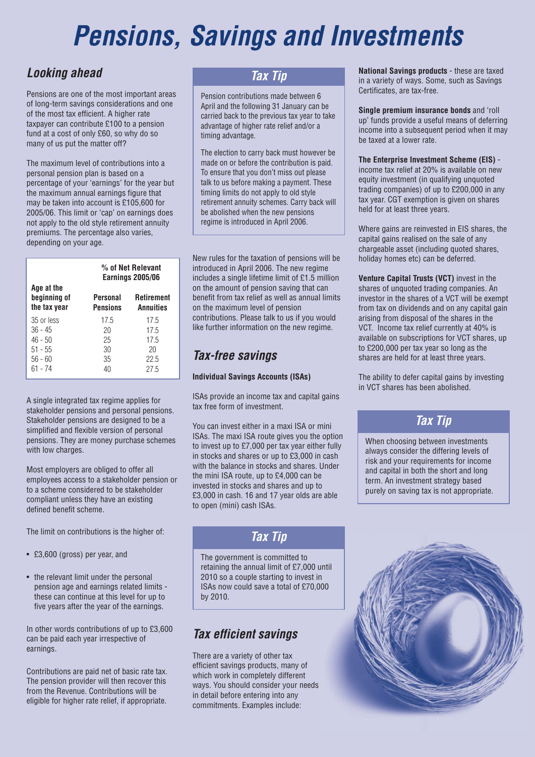# *Pensions, Savings and Investments*

### *Looking ahead*

Pensions are one of the most important areas of long-term savings considerations and one of the most tax efficient. A higher rate taxpayer can contribute £100 to a pension fund at a cost of only £60, so why do so many of us put the matter off?

The maximum level of contributions into a personal pension plan is based on a percentage of your 'earnings' for the year but the maximum annual earnings figure that may be taken into account is £105,600 for 2005/06. This limit or 'cap' on earnings does not apply to the old style retirement annuity premiums. The percentage also varies, depending on your age.

| % of Net Relevant<br>Earnings 2005/06 |                                            |
|---------------------------------------|--------------------------------------------|
| Personal<br><b>Pensions</b>           | <b>Retirement</b><br><b>Annuities</b>      |
| 17.5<br>20<br>25<br>30<br>35          | 17.5<br>17.5<br>17.5<br>20<br>22.5<br>27.5 |
|                                       | 40                                         |

A single integrated tax regime applies for stakeholder pensions and personal pensions. Stakeholder pensions are designed to be a simplified and flexible version of personal pensions. They are money purchase schemes with low charges.

Most employers are obliged to offer all employees access to a stakeholder pension or to a scheme considered to be stakeholder compliant unless they have an existing defined benefit scheme.

The limit on contributions is the higher of:

- £3,600 (gross) per year, and
- the relevant limit under the personal pension age and earnings related limits these can continue at this level for up to five years after the year of the earnings.

In other words contributions of up to £3,600 can be paid each year irrespective of earnings.

Contributions are paid net of basic rate tax. The pension provider will then recover this from the Revenue. Contributions will be eligible for higher rate relief, if appropriate.

### *Tax Tip*

Pension contributions made between 6 April and the following 31 January can be carried back to the previous tax year to take advantage of higher rate relief and/or a timing advantage.

The election to carry back must however be made on or before the contribution is paid. To ensure that you don't miss out please talk to us before making a payment. These timing limits do not apply to old style retirement annuity schemes. Carry back will be abolished when the new pensions regime is introduced in April 2006.

New rules for the taxation of pensions will be introduced in April 2006. The new regime includes a single lifetime limit of £1.5 million on the amount of pension saving that can benefit from tax relief as well as annual limits on the maximum level of pension contributions. Please talk to us if you would like further information on the new regime.

## *Tax-free savings*

### **Individual Savings Accounts (ISAs)**

ISAs provide an income tax and capital gains tax free form of investment.

You can invest either in a maxi ISA or mini ISAs. The maxi ISA route gives you the option to invest up to £7,000 per tax year either fully in stocks and shares or up to £3,000 in cash with the balance in stocks and shares. Under the mini ISA route, up to £4,000 can be invested in stocks and shares and up to £3,000 in cash. 16 and 17 year olds are able to open (mini) cash ISAs.

### *Tax Tip*

The government is committed to retaining the annual limit of £7,000 until 2010 so a couple starting to invest in ISAs now could save a total of £70,000 by 2010.

## *Tax efficient savings*

There are a variety of other tax efficient savings products, many of which work in completely different ways. You should consider your needs in detail before entering into any commitments. Examples include:

**National Savings products** - these are taxed in a variety of ways. Some, such as Savings Certificates, are tax-free.

**Single premium insurance bonds** and 'roll up' funds provide a useful means of deferring income into a subsequent period when it may be taxed at a lower rate.

**The Enterprise Investment Scheme (EIS)** income tax relief at 20% is available on new equity investment (in qualifying unquoted trading companies) of up to £200,000 in any tax year. CGT exemption is given on shares held for at least three years.

Where gains are reinvested in EIS shares, the capital gains realised on the sale of any chargeable asset (including quoted shares, holiday homes etc) can be deferred.

**Venture Capital Trusts (VCT)** invest in the shares of unquoted trading companies. An investor in the shares of a VCT will be exempt from tax on dividends and on any capital gain arising from disposal of the shares in the VCT. Income tax relief currently at 40% is available on subscriptions for VCT shares, up to £200,000 per tax year so long as the shares are held for at least three years.

The ability to defer capital gains by investing in VCT shares has been abolished.

## *Tax Tip*

When choosing between investments always consider the differing levels of risk and your requirements for income and capital in both the short and long term. An investment strategy based purely on saving tax is not appropriate.

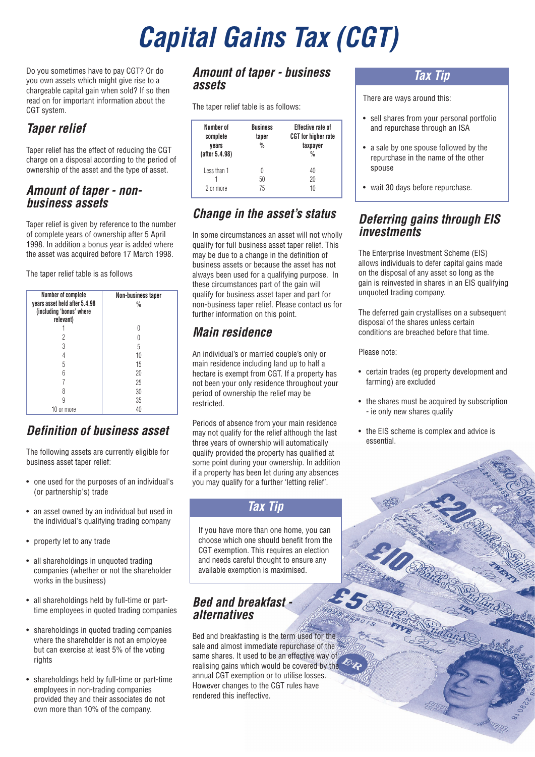# *Capital Gains Tax (CGT)*

Do you sometimes have to pay CGT? Or do you own assets which might give rise to a chargeable capital gain when sold? If so then read on for important information about the CGT system.

# *Taper relief*

Taper relief has the effect of reducing the CGT charge on a disposal according to the period of ownership of the asset and the type of asset.

### *Amount of taper - nonbusiness assets*

Taper relief is given by reference to the number of complete years of ownership after 5 April 1998. In addition a bonus year is added where the asset was acquired before 17 March 1998.

The taper relief table is as follows

| Number of complete<br>years asset held after 5.4.98<br>(including 'bonus' where<br>relevant) | Non-business taper<br>$\frac{0}{0}$ |
|----------------------------------------------------------------------------------------------|-------------------------------------|
|                                                                                              |                                     |
| 2                                                                                            |                                     |
| 3                                                                                            | 5                                   |
|                                                                                              | 10                                  |
| 5                                                                                            | 15                                  |
|                                                                                              | 20                                  |
|                                                                                              | 25                                  |
|                                                                                              | 30                                  |
|                                                                                              | 35                                  |
| 10 or more                                                                                   | 40                                  |

### *Definition of business asset*

The following assets are currently eligible for business asset taper relief:

- one used for the purposes of an individual's (or partnership's) trade
- an asset owned by an individual but used in the individual's qualifying trading company
- property let to any trade
- all shareholdings in unquoted trading companies (whether or not the shareholder works in the business)
- all shareholdings held by full-time or parttime employees in quoted trading companies
- shareholdings in quoted trading companies where the shareholder is not an employee but can exercise at least 5% of the voting rights
- shareholdings held by full-time or part-time employees in non-trading companies provided they and their associates do not own more than 10% of the company.

### *Amount of taper - business assets*

The taper relief table is as follows:

| Number of<br>complete<br>vears<br>(after 5.4.98) | <b>Business</b><br>taper<br>$\frac{0}{0}$ | <b>Effective rate of</b><br><b>CGT</b> for higher rate<br>taxpayer<br>$\frac{0}{0}$ |
|--------------------------------------------------|-------------------------------------------|-------------------------------------------------------------------------------------|
| Less than 1<br>2 or more                         | 0<br>50<br>75                             | 40<br>20<br>10                                                                      |

# *Change in the asset's status*

In some circumstances an asset will not wholly qualify for full business asset taper relief. This may be due to a change in the definition of business assets or because the asset has not always been used for a qualifying purpose. In these circumstances part of the gain will qualify for business asset taper and part for non-business taper relief. Please contact us for further information on this point.

# *Main residence*

An individual's or married couple's only or main residence including land up to half a hectare is exempt from CGT. If a property has not been your only residence throughout your period of ownership the relief may be restricted.

Periods of absence from your main residence may not qualify for the relief although the last three years of ownership will automatically qualify provided the property has qualified at some point during your ownership. In addition if a property has been let during any absences you may qualify for a further 'letting relief'.

### *Tax Tip*

If you have more than one home, you can choose which one should benefit from the CGT exemption. This requires an election and needs careful thought to ensure any available exemption is maximised.

### *Bed and breakfast alternatives*

Bed and breakfasting is the term used for the sale and almost immediate repurchase of the  $\sim$ same shares. It used to be an effective way of realising gains which would be covered by the annual CGT exemption or to utilise losses. However changes to the CGT rules have rendered this ineffective.

### *Tax Tip*

There are ways around this:

- sell shares from your personal portfolio and repurchase through an ISA
- a sale by one spouse followed by the repurchase in the name of the other spouse
- wait 30 days before repurchase.

### *Deferring gains through EIS investments*

The Enterprise Investment Scheme (EIS) allows individuals to defer capital gains made on the disposal of any asset so long as the gain is reinvested in shares in an EIS qualifying unquoted trading company.

The deferred gain crystallises on a subsequent disposal of the shares unless certain conditions are breached before that time.

Please note:

- certain trades (eg property development and farming) are excluded
- the shares must be acquired by subscription - ie only new shares qualify
- the EIS scheme is complex and advice is essential.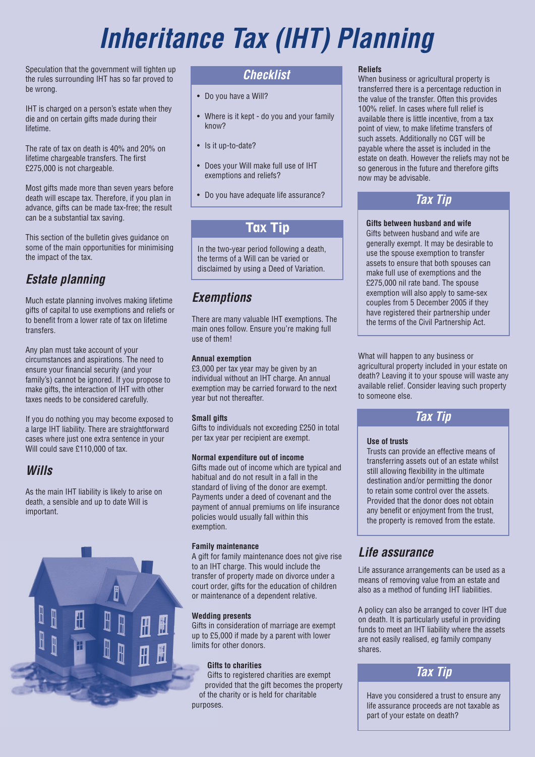# *Inheritance Tax (IHT) Planning*

Speculation that the government will tighten up the rules surrounding IHT has so far proved to be wrong.

IHT is charged on a person's estate when they die and on certain gifts made during their lifetime.

The rate of tax on death is 40% and 20% on lifetime chargeable transfers. The first £275,000 is not chargeable.

Most gifts made more than seven years before death will escape tax. Therefore, if you plan in advance, gifts can be made tax-free; the result can be a substantial tax saving.

This section of the bulletin gives guidance on some of the main opportunities for minimising the impact of the tax.

# *Estate planning*

Much estate planning involves making lifetime gifts of capital to use exemptions and reliefs or to benefit from a lower rate of tax on lifetime transfers.

Any plan must take account of your circumstances and aspirations. The need to ensure your financial security (and your family's) cannot be ignored. If you propose to make gifts, the interaction of IHT with other taxes needs to be considered carefully.

If you do nothing you may become exposed to a large IHT liability. There are straightforward cases where just one extra sentence in your Will could save £110,000 of tax.

## *Wills*

As the main IHT liability is likely to arise on death, a sensible and up to date Will is important.



### *Checklist*

- Do you have a Will?
- Where is it kept do you and your family know?
- Is it up-to-date?
- Does your Will make full use of IHT exemptions and reliefs?
- Do you have adequate life assurance?

## **Tax Tip**

In the two-year period following a death, the terms of a Will can be varied or disclaimed by using a Deed of Variation.

# *Exemptions*

There are many valuable IHT exemptions. The main ones follow. Ensure you're making full use of them!

#### **Annual exemption**

£3,000 per tax year may be given by an individual without an IHT charge. An annual exemption may be carried forward to the next year but not thereafter.

#### **Small gifts**

Gifts to individuals not exceeding £250 in total per tax year per recipient are exempt.

### **Normal expenditure out of income**

Gifts made out of income which are typical and habitual and do not result in a fall in the standard of living of the donor are exempt. Payments under a deed of covenant and the payment of annual premiums on life insurance policies would usually fall within this exemption.

#### **Family maintenance**

A gift for family maintenance does not give rise to an IHT charge. This would include the transfer of property made on divorce under a court order, gifts for the education of children or maintenance of a dependent relative.

### **Wedding presents**

Gifts in consideration of marriage are exempt up to £5,000 if made by a parent with lower limits for other donors.

### **Gifts to charities**

Gifts to registered charities are exempt provided that the gift becomes the property of the charity or is held for charitable purposes.

#### **Reliefs**

When business or agricultural property is transferred there is a percentage reduction in the value of the transfer. Often this provides 100% relief. In cases where full relief is available there is little incentive, from a tax point of view, to make lifetime transfers of such assets. Additionally no CGT will be payable where the asset is included in the estate on death. However the reliefs may not be so generous in the future and therefore gifts now may be advisable.

## *Tax Tip*

### **Gifts between husband and wife**

Gifts between husband and wife are generally exempt. It may be desirable to use the spouse exemption to transfer assets to ensure that both spouses can make full use of exemptions and the £275,000 nil rate band. The spouse exemption will also apply to same-sex couples from 5 December 2005 if they have registered their partnership under the terms of the Civil Partnership Act.

What will happen to any business or agricultural property included in your estate on death? Leaving it to your spouse will waste any available relief. Consider leaving such property to someone else.

## *Tax Tip*

### **Use of trusts**

Trusts can provide an effective means of transferring assets out of an estate whilst still allowing flexibility in the ultimate destination and/or permitting the donor to retain some control over the assets. Provided that the donor does not obtain any benefit or enjoyment from the trust, the property is removed from the estate.

## *Life assurance*

Life assurance arrangements can be used as a means of removing value from an estate and also as a method of funding IHT liabilities.

A policy can also be arranged to cover IHT due on death. It is particularly useful in providing funds to meet an IHT liability where the assets are not easily realised, eg family company shares.



Have you considered a trust to ensure any life assurance proceeds are not taxable as part of your estate on death?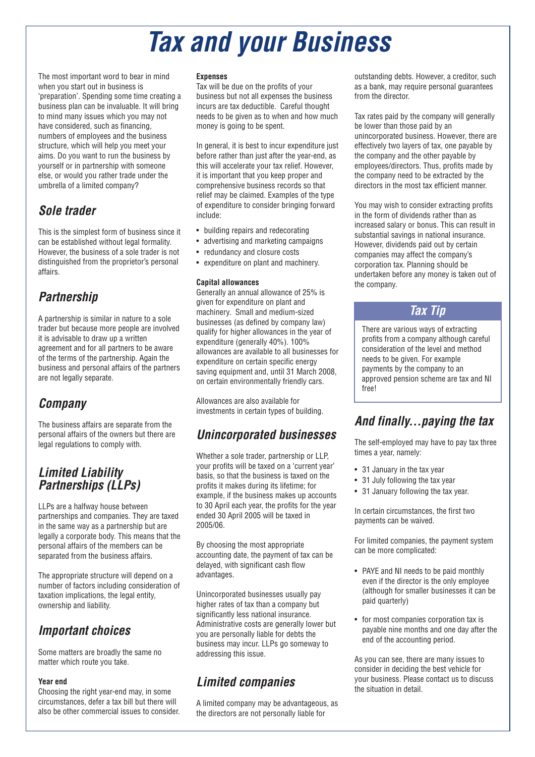# *Tax and your Business*

The most important word to bear in mind when you start out in business is 'preparation'. Spending some time creating a business plan can be invaluable. It will bring to mind many issues which you may not have considered, such as financing, numbers of employees and the business structure, which will help you meet your aims. Do you want to run the business by yourself or in partnership with someone else, or would you rather trade under the umbrella of a limited company?

## *Sole trader*

This is the simplest form of business since it can be established without legal formality. However, the business of a sole trader is not distinguished from the proprietor's personal affairs.

# *Partnership*

A partnership is similar in nature to a sole trader but because more people are involved it is advisable to draw up a written agreement and for all partners to be aware of the terms of the partnership. Again the business and personal affairs of the partners are not legally separate.

# *Company*

The business affairs are separate from the personal affairs of the owners but there are legal regulations to comply with.

### *Limited Liability Partnerships (LLPs)*

LLPs are a halfway house between partnerships and companies. They are taxed in the same way as a partnership but are legally a corporate body. This means that the personal affairs of the members can be separated from the business affairs.

The appropriate structure will depend on a number of factors including consideration of taxation implications, the legal entity, ownership and liability.

## *Important choices*

Some matters are broadly the same no matter which route you take.

#### **Year end**

Choosing the right year-end may, in some circumstances, defer a tax bill but there will also be other commercial issues to consider.

#### **Expenses**

Tax will be due on the profits of your business but not all expenses the business incurs are tax deductible. Careful thought needs to be given as to when and how much money is going to be spent.

In general, it is best to incur expenditure just before rather than just after the year-end, as this will accelerate your tax relief. However, it is important that you keep proper and comprehensive business records so that relief may be claimed. Examples of the type of expenditure to consider bringing forward include:

- building repairs and redecorating
- advertising and marketing campaigns
- redundancy and closure costs
- expenditure on plant and machinery.

#### **Capital allowances**

Generally an annual allowance of 25% is given for expenditure on plant and machinery. Small and medium-sized businesses (as defined by company law) qualify for higher allowances in the year of expenditure (generally 40%). 100% allowances are available to all businesses for expenditure on certain specific energy saving equipment and, until 31 March 2008, on certain environmentally friendly cars.

Allowances are also available for investments in certain types of building.

### *Unincorporated businesses*

Whether a sole trader, partnership or LLP, your profits will be taxed on a 'current year' basis, so that the business is taxed on the profits it makes during its lifetime; for example, if the business makes up accounts to 30 April each year, the profits for the year ended 30 April 2005 will be taxed in 2005/06.

By choosing the most appropriate accounting date, the payment of tax can be delayed, with significant cash flow advantages.

Unincorporated businesses usually pay higher rates of tax than a company but significantly less national insurance. Administrative costs are generally lower but you are personally liable for debts the business may incur. LLPs go someway to addressing this issue.

# *Limited companies*

A limited company may be advantageous, as the directors are not personally liable for

outstanding debts. However, a creditor, such as a bank, may require personal guarantees from the director.

Tax rates paid by the company will generally be lower than those paid by an unincorporated business. However, there are effectively two layers of tax, one payable by the company and the other payable by employees/directors. Thus, profits made by the company need to be extracted by the directors in the most tax efficient manner.

You may wish to consider extracting profits in the form of dividends rather than as increased salary or bonus. This can result in substantial savings in national insurance. However, dividends paid out by certain companies may affect the company's corporation tax. Planning should be undertaken before any money is taken out of the company.

### *Tax Tip*

There are various ways of extracting profits from a company although careful consideration of the level and method needs to be given. For example payments by the company to an approved pension scheme are tax and NI free!

### *And finally...paying the tax*

The self-employed may have to pay tax three times a year, namely:

- 31 January in the tax year
- 31 July following the tax year
- 31 January following the tax year.

In certain circumstances, the first two payments can be waived.

For limited companies, the payment system can be more complicated:

- PAYE and NI needs to be paid monthly even if the director is the only employee (although for smaller businesses it can be paid quarterly)
- for most companies corporation tax is payable nine months and one day after the end of the accounting period.

As you can see, there are many issues to consider in deciding the best vehicle for your business. Please contact us to discuss the situation in detail.